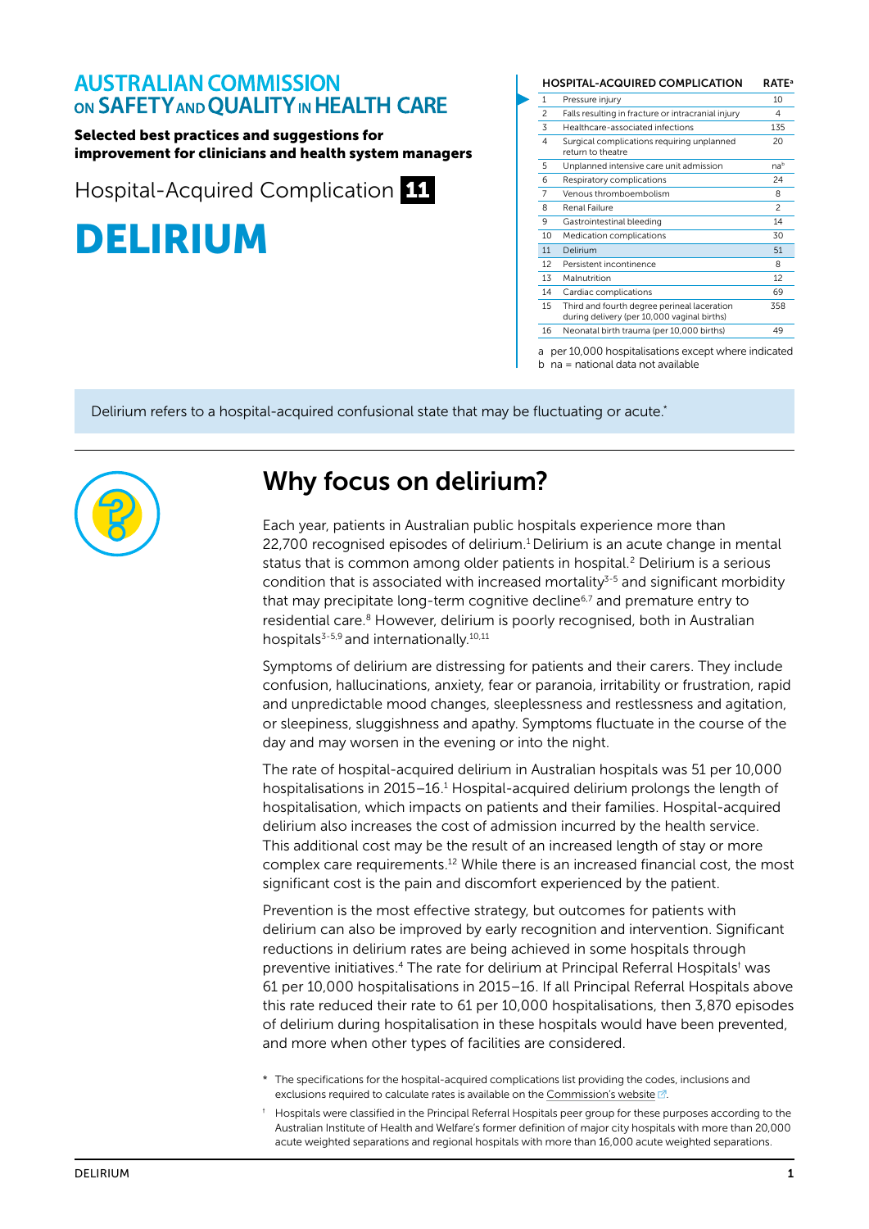### **AUSTRALIAN COMMISSION** ON SAFETY AND QUALITY IN HEALTH CARE

#### Selected best practices and suggestions for improvement for clinicians and health system managers

Hospital-Acquired Complication 11



|                          | <b>HOSPITAL-ACQUIRED COMPLICATION</b>                                                      | <b>RATE</b> <sup>a</sup> |
|--------------------------|--------------------------------------------------------------------------------------------|--------------------------|
| 1                        | Pressure injury                                                                            | 10                       |
| $\overline{\phantom{0}}$ | Falls resulting in fracture or intracranial injury                                         | 4                        |
| 3                        | Healthcare-associated infections                                                           | 135                      |
| $\overline{4}$           | Surgical complications requiring unplanned<br>return to theatre                            | 20                       |
| 5                        | Unplanned intensive care unit admission                                                    | nab                      |
| 6                        | Respiratory complications                                                                  | 24                       |
| $\overline{7}$           | Venous thromboembolism                                                                     | 8                        |
| 8                        | Renal Failure                                                                              | $\mathfrak{p}$           |
| 9                        | Gastrointestinal bleeding                                                                  | 14                       |
| 10                       | Medication complications                                                                   | 30                       |
| 11                       | Delirium                                                                                   | 51                       |
| 12                       | Persistent incontinence                                                                    | 8                        |
| 13                       | Malnutrition                                                                               | 12                       |
| 14                       | Cardiac complications                                                                      | 69                       |
| 15                       | Third and fourth degree perineal laceration<br>during delivery (per 10,000 vaginal births) | 358                      |
| 16                       | Neonatal birth trauma (per 10,000 births)                                                  | 49                       |

a per 10,000 hospitalisations except where indicated

b na = national data not available

Delirium refers to a hospital-acquired confusional state that may be fluctuating or acute.\*



## Why focus on delirium?

Each year, patients in Australian public hospitals experience more than 22,700 recognised episodes of delirium.1 Delirium is an acute change in mental status that is common among older patients in hospital.<sup>2</sup> Delirium is a serious condition that is associated with increased mortality $3-5$  and significant morbidity that may precipitate long-term cognitive decline $6,7$  and premature entry to residential care.<sup>8</sup> However, delirium is poorly recognised, both in Australian hospitals<sup>3-5,9</sup> and internationally.<sup>10,11</sup>

Symptoms of delirium are distressing for patients and their carers. They include confusion, hallucinations, anxiety, fear or paranoia, irritability or frustration, rapid and unpredictable mood changes, sleeplessness and restlessness and agitation, or sleepiness, sluggishness and apathy. Symptoms fluctuate in the course of the day and may worsen in the evening or into the night.

The rate of hospital-acquired delirium in Australian hospitals was 51 per 10,000 hospitalisations in 2015–16.<sup>1</sup> Hospital-acquired delirium prolongs the length of hospitalisation, which impacts on patients and their families. Hospital-acquired delirium also increases the cost of admission incurred by the health service. This additional cost may be the result of an increased length of stay or more complex care requirements.12 While there is an increased financial cost, the most significant cost is the pain and discomfort experienced by the patient.

Prevention is the most effective strategy, but outcomes for patients with delirium can also be improved by early recognition and intervention. Significant reductions in delirium rates are being achieved in some hospitals through preventive initiatives.<sup>4</sup> The rate for delirium at Principal Referral Hospitals<sup>†</sup> was 61 per 10,000 hospitalisations in 2015–16. If all Principal Referral Hospitals above this rate reduced their rate to 61 per 10,000 hospitalisations, then 3,870 episodes of delirium during hospitalisation in these hospitals would have been prevented, and more when other types of facilities are considered.

- \* The specifications for the hospital-acquired complications list providing the codes, inclusions and exclusions required to calculate rates is available on the [Commission's website](https://www.safetyandquality.gov.au/our-work/indicators/hospital-acquired-complications/)  $\mathbb{Z}$ .
- † Hospitals were classified in the Principal Referral Hospitals peer group for these purposes according to the Australian Institute of Health and Welfare's former definition of major city hospitals with more than 20,000 acute weighted separations and regional hospitals with more than 16,000 acute weighted separations.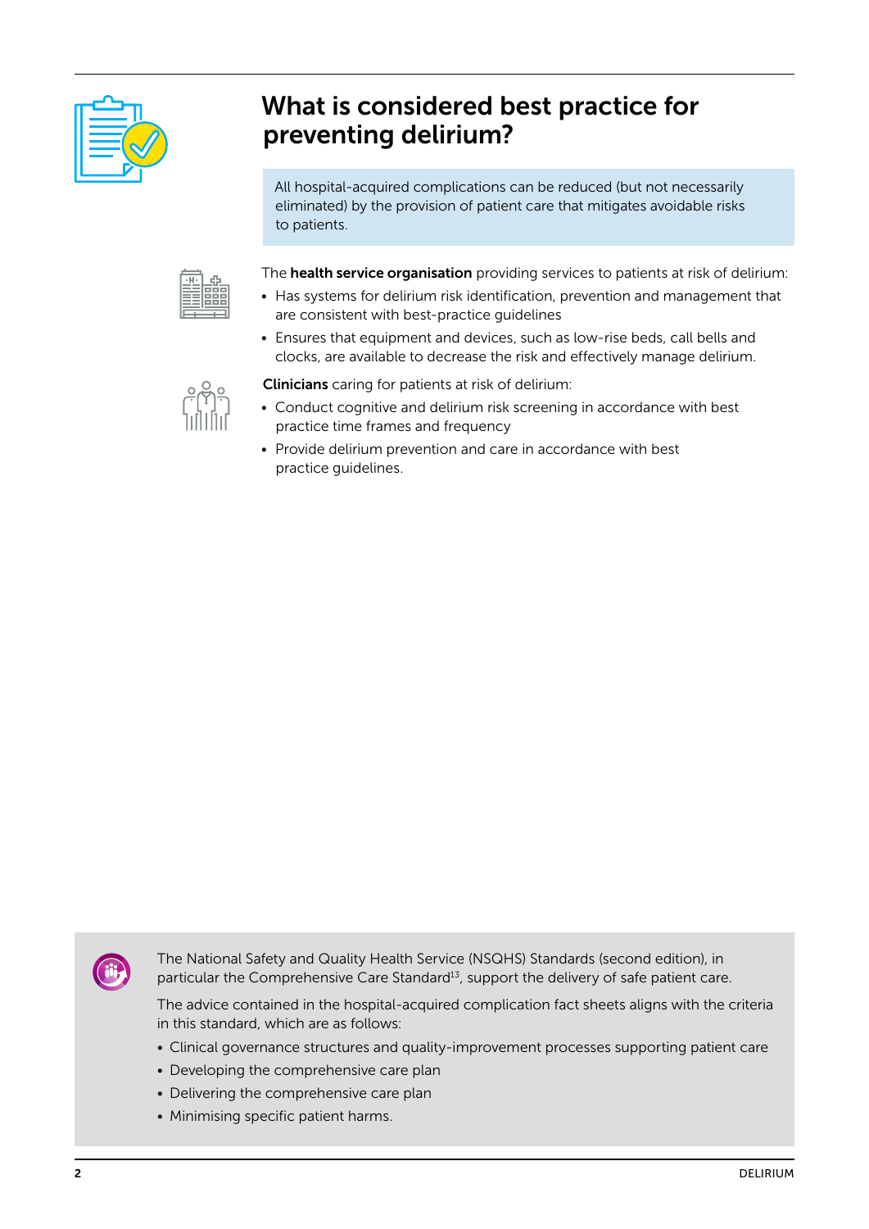

# What is considered best practice for preventing delirium?

All hospital-acquired complications can be reduced (but not necessarily eliminated) by the provision of patient care that mitigates avoidable risks to patients.



The health service organisation providing services to patients at risk of delirium:

- Has systems for delirium risk identification, prevention and management that are consistent with best-practice guidelines
- Ensures that equipment and devices, such as low-rise beds, call bells and clocks, are available to decrease the risk and effectively manage delirium.

- Clinicians caring for patients at risk of delirium:
- Conduct cognitive and delirium risk screening in accordance with best practice time frames and frequency
- Provide delirium prevention and care in accordance with best practice guidelines.



The National Safety and Quality Health Service (NSQHS) Standards (second edition), in particular the Comprehensive Care Standard<sup>13</sup>, support the delivery of safe patient care.

The advice contained in the hospital-acquired complication fact sheets aligns with the criteria in this standard, which are as follows:

- Clinical governance structures and quality-improvement processes supporting patient care
- Developing the comprehensive care plan
- Delivering the comprehensive care plan
- Minimising specific patient harms.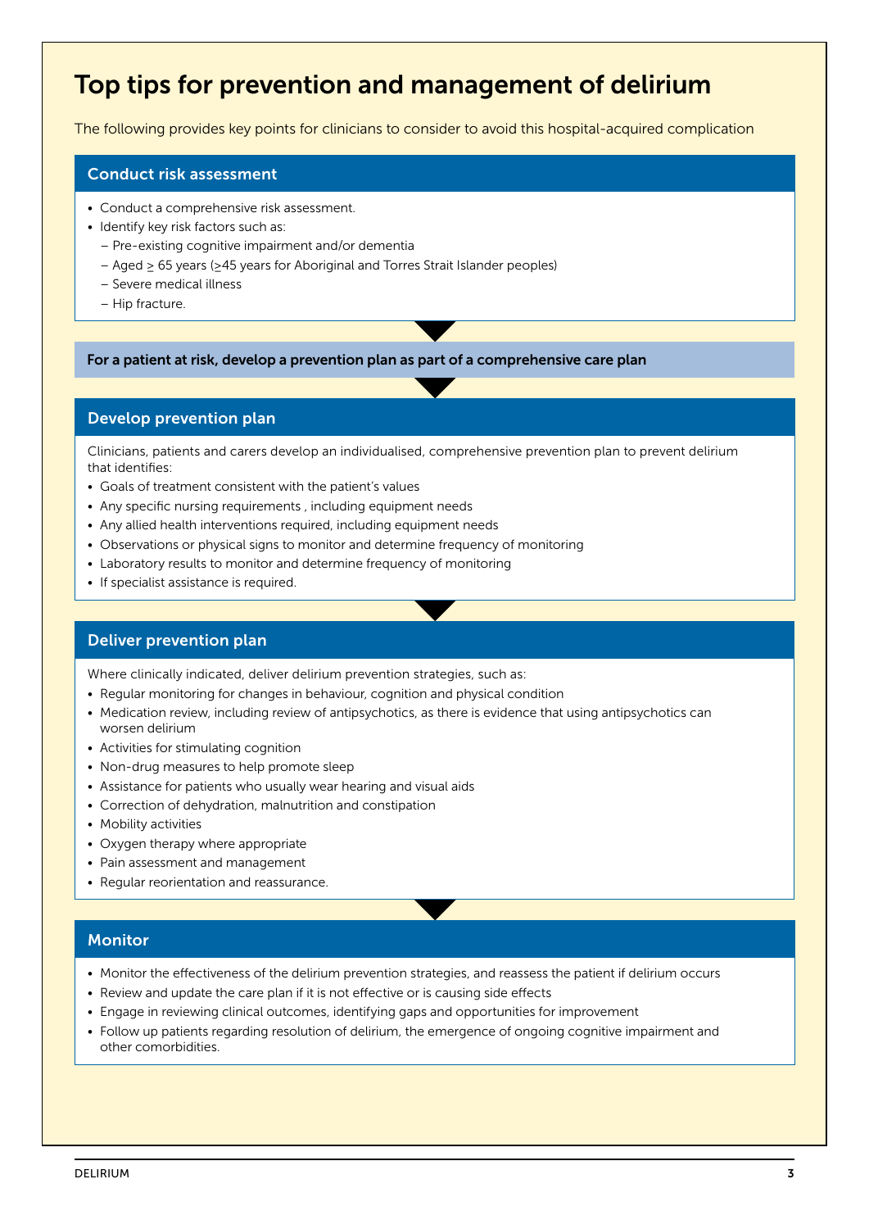# Top tips for prevention and management of delirium

The following provides key points for clinicians to consider to avoid this hospital-acquired complication

#### Conduct risk assessment

- Conduct a comprehensive risk assessment.
- Identify key risk factors such as:
	- Pre-existing cognitive impairment and/or dementia
	- Aged ≥ 65 years (≥45 years for Aboriginal and Torres Strait Islander peoples)
	- Severe medical illness
	- Hip fracture.

For a patient at risk, develop a prevention plan as part of a comprehensive care plan

#### Develop prevention plan

Clinicians, patients and carers develop an individualised, comprehensive prevention plan to prevent delirium that identifies:

- Goals of treatment consistent with the patient's values
- Any specific nursing requirements , including equipment needs
- Any allied health interventions required, including equipment needs
- Observations or physical signs to monitor and determine frequency of monitoring
- Laboratory results to monitor and determine frequency of monitoring
- If specialist assistance is required.

#### Deliver prevention plan

Where clinically indicated, deliver delirium prevention strategies, such as:

- Regular monitoring for changes in behaviour, cognition and physical condition
- Medication review, including review of antipsychotics, as there is evidence that using antipsychotics can worsen delirium
- Activities for stimulating cognition
- Non-drug measures to help promote sleep
- Assistance for patients who usually wear hearing and visual aids
- Correction of dehydration, malnutrition and constipation
- Mobility activities
- Oxygen therapy where appropriate
- Pain assessment and management
- Regular reorientation and reassurance.

#### **Monitor**

- Monitor the effectiveness of the delirium prevention strategies, and reassess the patient if delirium occurs
- Review and update the care plan if it is not effective or is causing side effects
- Engage in reviewing clinical outcomes, identifying gaps and opportunities for improvement
- Follow up patients regarding resolution of delirium, the emergence of ongoing cognitive impairment and other comorbidities.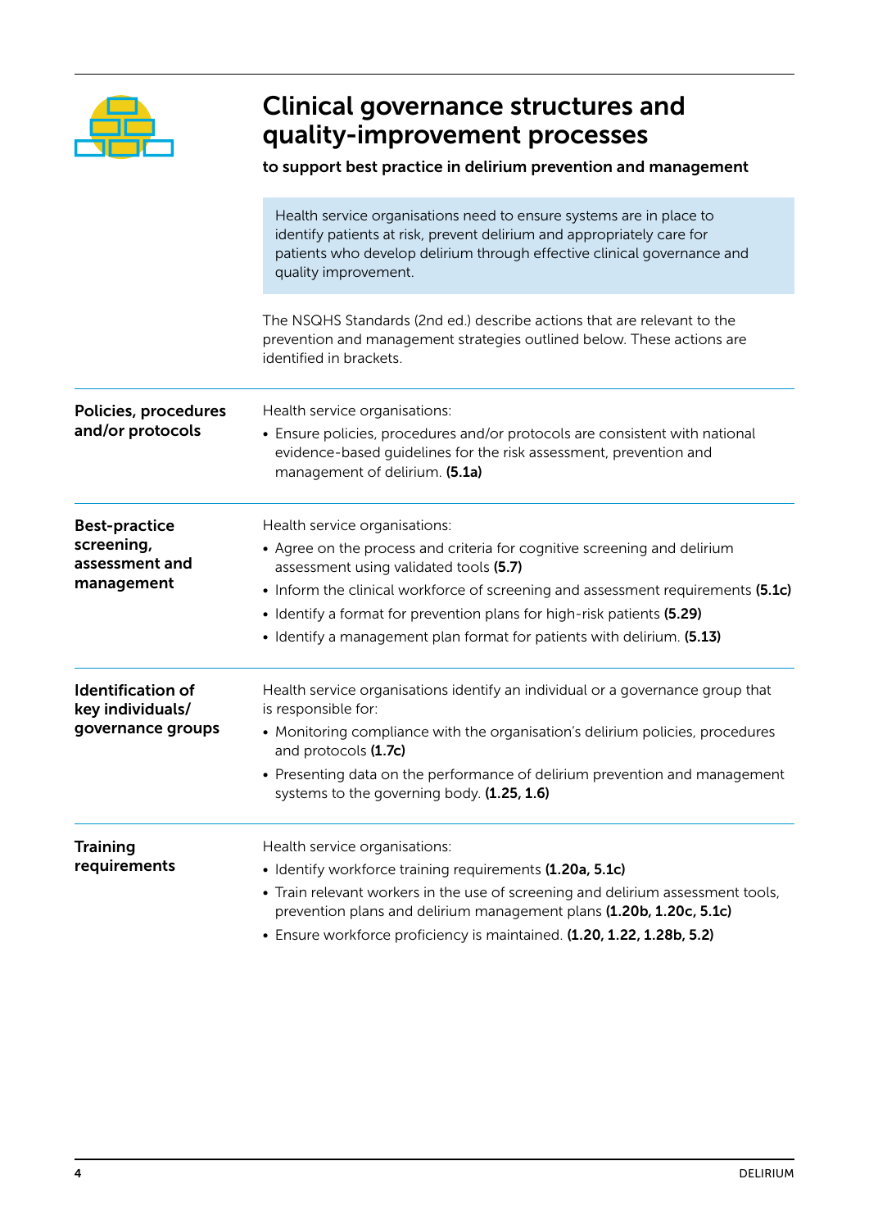

# Clinical governance structures and quality‑improvement processes

### to support best practice in delirium prevention and management

|                                                                    | Health service organisations need to ensure systems are in place to<br>identify patients at risk, prevent delirium and appropriately care for<br>patients who develop delirium through effective clinical governance and<br>quality improvement.                                                                                                                                           |
|--------------------------------------------------------------------|--------------------------------------------------------------------------------------------------------------------------------------------------------------------------------------------------------------------------------------------------------------------------------------------------------------------------------------------------------------------------------------------|
|                                                                    | The NSQHS Standards (2nd ed.) describe actions that are relevant to the<br>prevention and management strategies outlined below. These actions are<br>identified in brackets.                                                                                                                                                                                                               |
| Policies, procedures<br>and/or protocols                           | Health service organisations:<br>• Ensure policies, procedures and/or protocols are consistent with national<br>evidence-based guidelines for the risk assessment, prevention and<br>management of delirium. (5.1a)                                                                                                                                                                        |
| <b>Best-practice</b><br>screening,<br>assessment and<br>management | Health service organisations:<br>• Agree on the process and criteria for cognitive screening and delirium<br>assessment using validated tools (5.7)<br>• Inform the clinical workforce of screening and assessment requirements (5.1c)<br>• Identify a format for prevention plans for high-risk patients (5.29)<br>• Identify a management plan format for patients with delirium. (5.13) |
| <b>Identification of</b><br>key individuals/<br>governance groups  | Health service organisations identify an individual or a governance group that<br>is responsible for:<br>• Monitoring compliance with the organisation's delirium policies, procedures<br>and protocols (1.7c)<br>• Presenting data on the performance of delirium prevention and management<br>systems to the governing body. (1.25, 1.6)                                                 |
| <b>Training</b><br>requirements                                    | Health service organisations:<br>• Identify workforce training requirements (1.20a, 5.1c)<br>• Train relevant workers in the use of screening and delirium assessment tools,<br>prevention plans and delirium management plans (1.20b, 1.20c, 5.1c)<br>· Ensure workforce proficiency is maintained. (1.20, 1.22, 1.28b, 5.2)                                                              |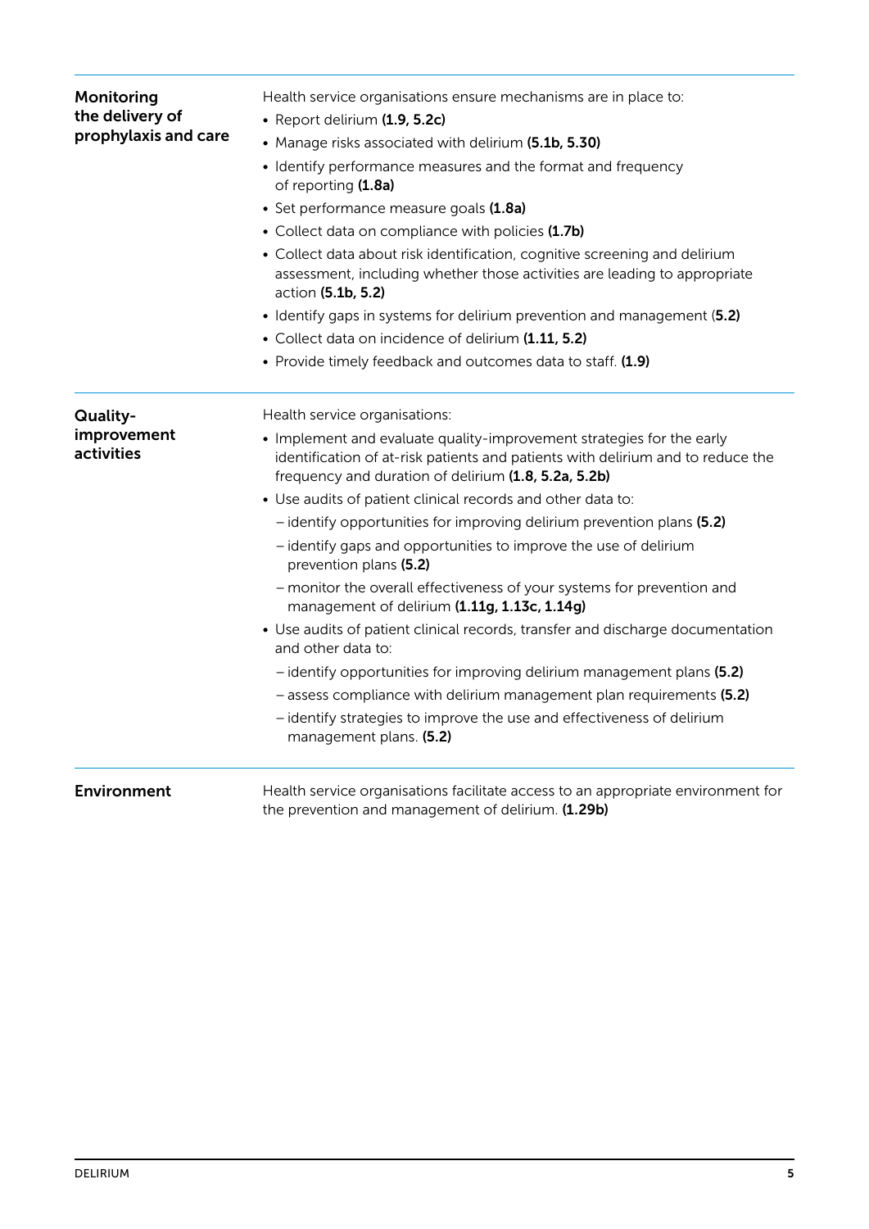| Monitoring<br>the delivery of<br>prophylaxis and care | Health service organisations ensure mechanisms are in place to:<br>• Report delirium (1.9, 5.2c)<br>• Manage risks associated with delirium (5.1b, 5.30)<br>• Identify performance measures and the format and frequency<br>of reporting (1.8a)<br>· Set performance measure goals (1.8a)<br>• Collect data on compliance with policies (1.7b)<br>• Collect data about risk identification, cognitive screening and delirium<br>assessment, including whether those activities are leading to appropriate<br>action (5.1b, 5.2)<br>• Identify gaps in systems for delirium prevention and management (5.2)<br>• Collect data on incidence of delirium (1.11, 5.2)<br>• Provide timely feedback and outcomes data to staff. (1.9)                                                                                                                                                                                                                                                  |
|-------------------------------------------------------|-----------------------------------------------------------------------------------------------------------------------------------------------------------------------------------------------------------------------------------------------------------------------------------------------------------------------------------------------------------------------------------------------------------------------------------------------------------------------------------------------------------------------------------------------------------------------------------------------------------------------------------------------------------------------------------------------------------------------------------------------------------------------------------------------------------------------------------------------------------------------------------------------------------------------------------------------------------------------------------|
| Quality-<br>improvement<br>activities                 | Health service organisations:<br>• Implement and evaluate quality-improvement strategies for the early<br>identification of at-risk patients and patients with delirium and to reduce the<br>frequency and duration of delirium (1.8, 5.2a, 5.2b)<br>• Use audits of patient clinical records and other data to:<br>- identify opportunities for improving delirium prevention plans (5.2)<br>- identify gaps and opportunities to improve the use of delirium<br>prevention plans (5.2)<br>- monitor the overall effectiveness of your systems for prevention and<br>management of delirium (1.11g, 1.13c, 1.14g)<br>• Use audits of patient clinical records, transfer and discharge documentation<br>and other data to:<br>- identify opportunities for improving delirium management plans (5.2)<br>- assess compliance with delirium management plan requirements (5.2)<br>- identify strategies to improve the use and effectiveness of delirium<br>management plans. (5.2) |
| <b>Environment</b>                                    | Health service organisations facilitate access to an appropriate environment for<br>the prevention and management of delirium. (1.29b)                                                                                                                                                                                                                                                                                                                                                                                                                                                                                                                                                                                                                                                                                                                                                                                                                                            |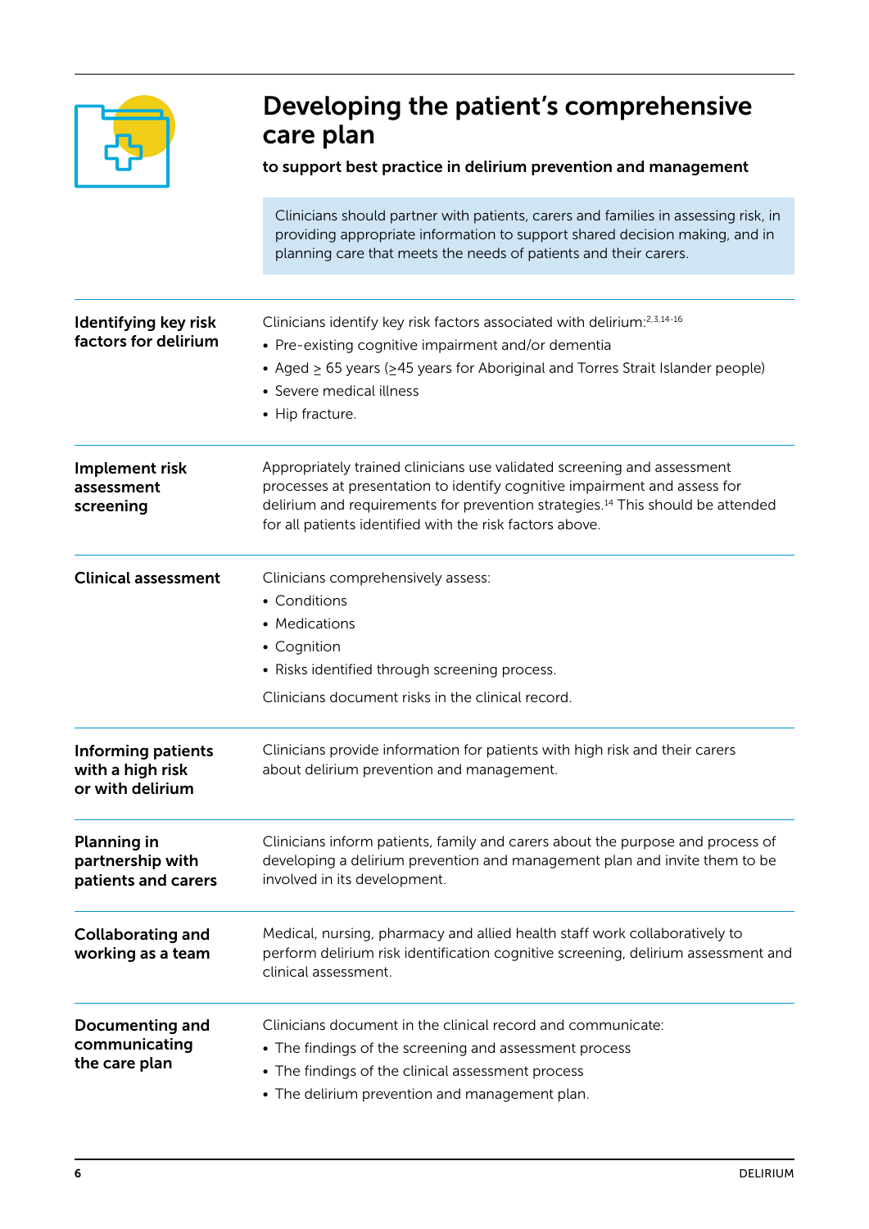

# Developing the patient's comprehensive care plan

#### to support best practice in delirium prevention and management

Clinicians should partner with patients, carers and families in assessing risk, in providing appropriate information to support shared decision making, and in planning care that meets the needs of patients and their carers.

| Identifying key risk<br>factors for delirium                      | Clinicians identify key risk factors associated with delirium:2,3,14-16<br>• Pre-existing cognitive impairment and/or dementia<br>• Aged $\geq$ 65 years ( $\geq$ 45 years for Aboriginal and Torres Strait Islander people)<br>• Severe medical illness<br>• Hip fracture.                                    |
|-------------------------------------------------------------------|----------------------------------------------------------------------------------------------------------------------------------------------------------------------------------------------------------------------------------------------------------------------------------------------------------------|
| Implement risk<br>assessment<br>screening                         | Appropriately trained clinicians use validated screening and assessment<br>processes at presentation to identify cognitive impairment and assess for<br>delirium and requirements for prevention strategies. <sup>14</sup> This should be attended<br>for all patients identified with the risk factors above. |
| <b>Clinical assessment</b>                                        | Clinicians comprehensively assess:<br>• Conditions<br>• Medications<br>• Cognition<br>• Risks identified through screening process.<br>Clinicians document risks in the clinical record.                                                                                                                       |
| <b>Informing patients</b><br>with a high risk<br>or with delirium | Clinicians provide information for patients with high risk and their carers<br>about delirium prevention and management.                                                                                                                                                                                       |
| <b>Planning in</b><br>partnership with<br>patients and carers     | Clinicians inform patients, family and carers about the purpose and process of<br>developing a delirium prevention and management plan and invite them to be<br>involved in its development.                                                                                                                   |
| <b>Collaborating and</b><br>working as a team                     | Medical, nursing, pharmacy and allied health staff work collaboratively to<br>perform delirium risk identification cognitive screening, delirium assessment and<br>clinical assessment.                                                                                                                        |
| <b>Documenting and</b><br>communicating<br>the care plan          | Clinicians document in the clinical record and communicate:<br>• The findings of the screening and assessment process<br>• The findings of the clinical assessment process<br>• The delirium prevention and management plan.                                                                                   |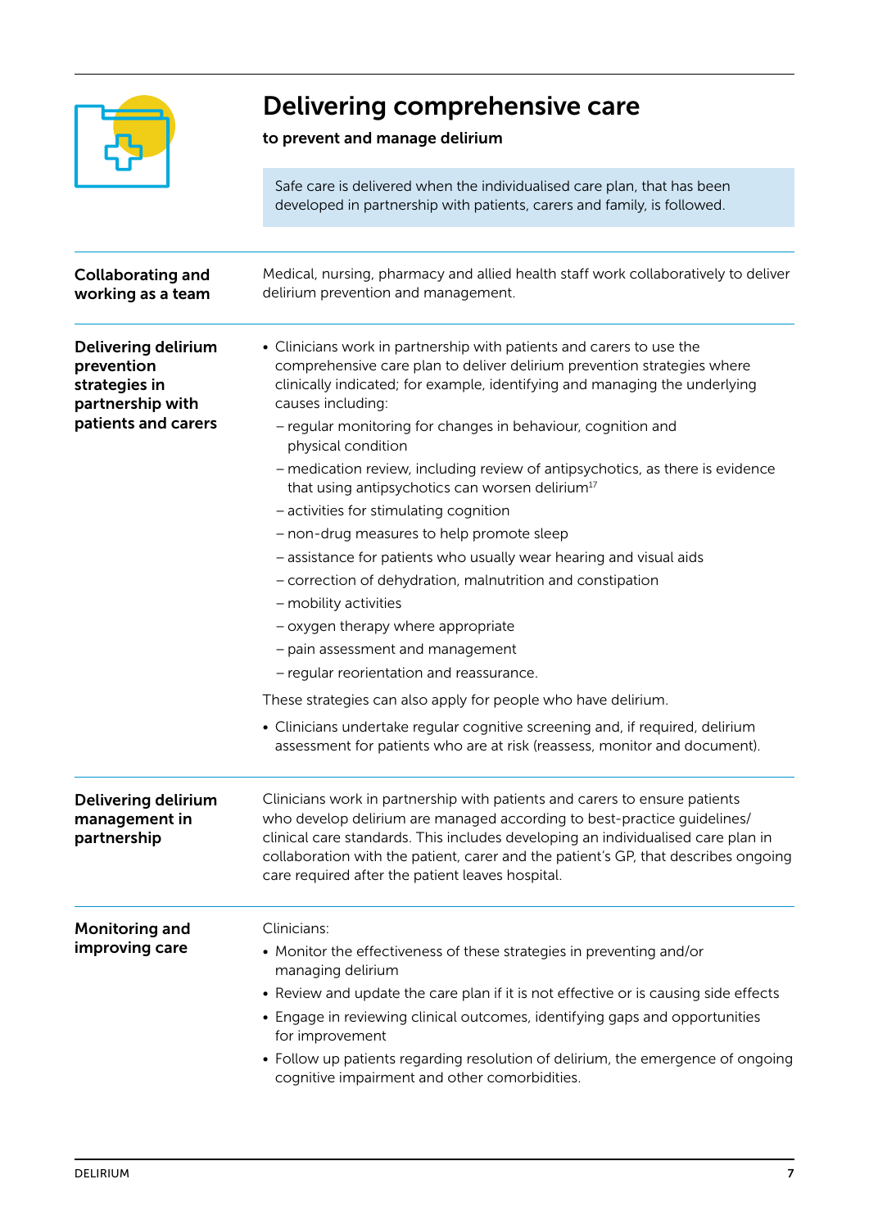

# Delivering comprehensive care

### to prevent and manage delirium

Safe care is delivered when the individualised care plan, that has been developed in partnership with patients, carers and family, is followed.

| <b>Collaborating and</b><br>working as a team                          | Medical, nursing, pharmacy and allied health staff work collaboratively to deliver<br>delirium prevention and management.                                                                                                                                                                                                                                                           |
|------------------------------------------------------------------------|-------------------------------------------------------------------------------------------------------------------------------------------------------------------------------------------------------------------------------------------------------------------------------------------------------------------------------------------------------------------------------------|
| Delivering delirium<br>prevention<br>strategies in<br>partnership with | • Clinicians work in partnership with patients and carers to use the<br>comprehensive care plan to deliver delirium prevention strategies where<br>clinically indicated; for example, identifying and managing the underlying<br>causes including:                                                                                                                                  |
| patients and carers                                                    | - regular monitoring for changes in behaviour, cognition and<br>physical condition                                                                                                                                                                                                                                                                                                  |
|                                                                        | - medication review, including review of antipsychotics, as there is evidence<br>that using antipsychotics can worsen delirium <sup>17</sup>                                                                                                                                                                                                                                        |
|                                                                        | - activities for stimulating cognition                                                                                                                                                                                                                                                                                                                                              |
|                                                                        | - non-drug measures to help promote sleep                                                                                                                                                                                                                                                                                                                                           |
|                                                                        | - assistance for patients who usually wear hearing and visual aids                                                                                                                                                                                                                                                                                                                  |
|                                                                        | - correction of dehydration, malnutrition and constipation                                                                                                                                                                                                                                                                                                                          |
|                                                                        | - mobility activities                                                                                                                                                                                                                                                                                                                                                               |
|                                                                        | - oxygen therapy where appropriate                                                                                                                                                                                                                                                                                                                                                  |
|                                                                        | - pain assessment and management                                                                                                                                                                                                                                                                                                                                                    |
|                                                                        | - regular reorientation and reassurance.                                                                                                                                                                                                                                                                                                                                            |
|                                                                        | These strategies can also apply for people who have delirium.                                                                                                                                                                                                                                                                                                                       |
|                                                                        | • Clinicians undertake regular cognitive screening and, if required, delirium<br>assessment for patients who are at risk (reassess, monitor and document).                                                                                                                                                                                                                          |
| <b>Delivering delirium</b><br>management in<br>partnership             | Clinicians work in partnership with patients and carers to ensure patients<br>who develop delirium are managed according to best-practice guidelines/<br>clinical care standards. This includes developing an individualised care plan in<br>collaboration with the patient, carer and the patient's GP, that describes ongoing<br>care required after the patient leaves hospital. |
| <b>Monitoring and</b>                                                  | Clinicians:                                                                                                                                                                                                                                                                                                                                                                         |
| improving care                                                         | • Monitor the effectiveness of these strategies in preventing and/or<br>managing delirium                                                                                                                                                                                                                                                                                           |
|                                                                        | • Review and update the care plan if it is not effective or is causing side effects<br>• Engage in reviewing clinical outcomes, identifying gaps and opportunities<br>for improvement                                                                                                                                                                                               |
|                                                                        | • Follow up patients regarding resolution of delirium, the emergence of ongoing<br>cognitive impairment and other comorbidities.                                                                                                                                                                                                                                                    |
|                                                                        |                                                                                                                                                                                                                                                                                                                                                                                     |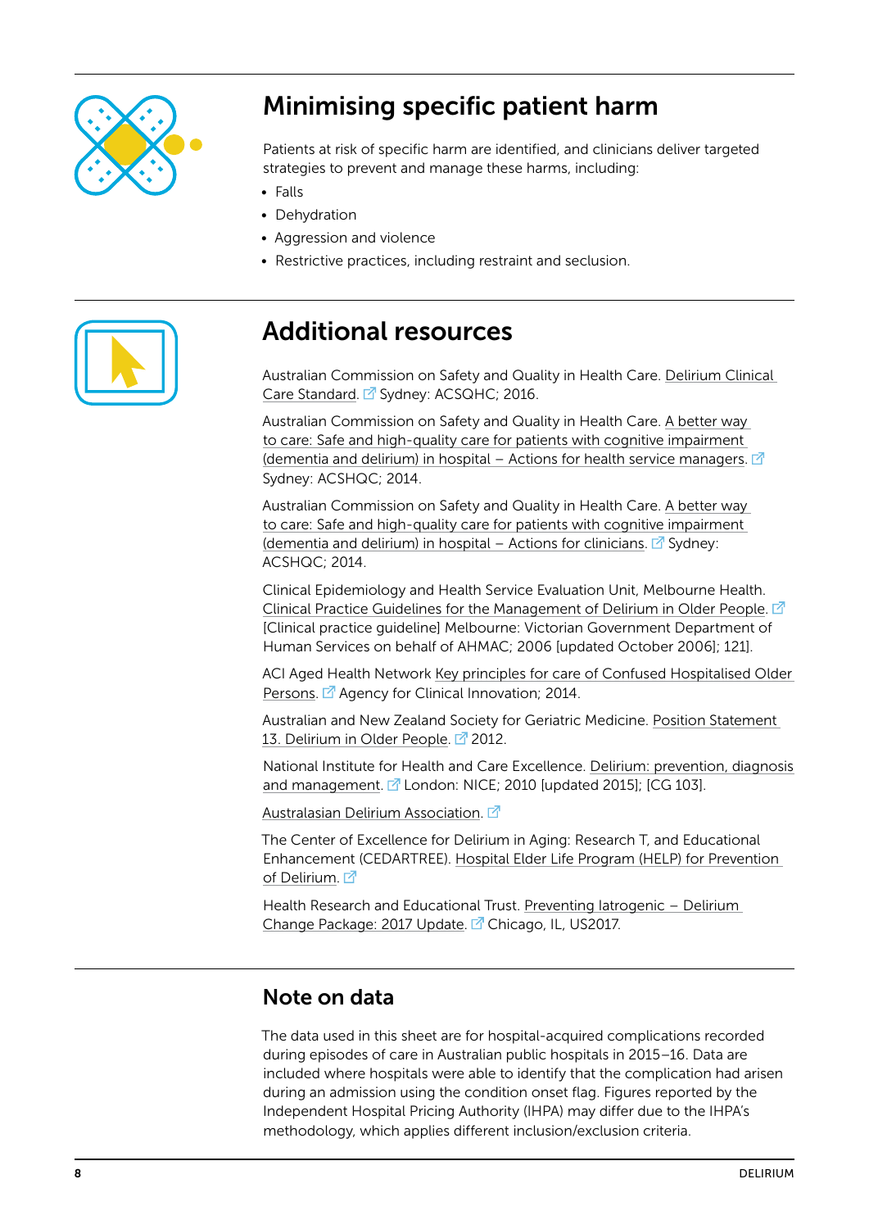

# Minimising specific patient harm

Patients at risk of specific harm are identified, and clinicians deliver targeted strategies to prevent and manage these harms, including:

- Falls
- Dehydration
- Aggression and violence
- Restrictive practices, including restraint and seclusion.



## Additional resources

Australian Commission on Safety and Quality in Health Care. [Delirium Clinical](https://www.safetyandquality.gov.au/wp-content/uploads/2016/07/Delirium-Clinical-Care-Standard-Web-PDF.pdf)  [Care Standard](https://www.safetyandquality.gov.au/wp-content/uploads/2016/07/Delirium-Clinical-Care-Standard-Web-PDF.pdf). <sup>7</sup> Sydney: ACSQHC; 2016.

Australian Commission on Safety and Quality in Health Care. [A better way](https://www.safetyandquality.gov.au/publications/a-better-way-to-care-actions-for-health-service-managers/)  [to care: Safe and high-quality care for patients with cognitive impairment](https://www.safetyandquality.gov.au/publications/a-better-way-to-care-actions-for-health-service-managers/)  [\(dementia and delirium\) in hospital – Actions for health service managers](https://www.safetyandquality.gov.au/publications/a-better-way-to-care-actions-for-health-service-managers/).  $\mathbb{Z}$ Sydney: ACSHQC; 2014.

Australian Commission on Safety and Quality in Health Care. [A better way](https://www.safetyandquality.gov.au/publications/a-better-way-to-care-actions-for-clinicians/)  [to care: Safe and high-quality care for patients with cognitive impairment](https://www.safetyandquality.gov.au/publications/a-better-way-to-care-actions-for-clinicians/)  [\(dementia and delirium\) in hospital – Actions for clinicians.](https://www.safetyandquality.gov.au/publications/a-better-way-to-care-actions-for-clinicians/)  $\mathbb{Z}^T$  Sydney: ACSHQC; 2014.

Clinical Epidemiology and Health Service Evaluation Unit, Melbourne Health. [Clinical Practice Guidelines for the Management of Delirium in Older People](https://www2.health.vic.gov.au/about/publications/policiesandguidelines/Clinical%20Practice%20Guidelines%20for%20the%20Management%20of%20Delirium%20in%20Older%20People%20-%20October%202006).  $\mathbb{Z}$ [Clinical practice guideline] Melbourne: Victorian Government Department of Human Services on behalf of AHMAC; 2006 [updated October 2006]; 121].

ACI Aged Health Network [Key principles for care of Confused Hospitalised Older](https://www.aci.health.nsw.gov.au/__data/assets/pdf_file/0006/249171/CHOPS-key-principles1-2-web.pdf)  [Persons](https://www.aci.health.nsw.gov.au/__data/assets/pdf_file/0006/249171/CHOPS-key-principles1-2-web.pdf). <sup>7</sup> Agency for Clinical Innovation; 2014.

Australian and New Zealand Society for Geriatric Medicine. [Position Statement](http://www.anzsgm.org/documents/PS13DeliriumstatementRevision2012.pdf)  [13. Delirium in Older People.](http://www.anzsgm.org/documents/PS13DeliriumstatementRevision2012.pdf)  $\Box$  2012.

National Institute for Health and Care Excellence. [Delirium: prevention, diagnosis](https://nice.org.uk/guidance/cg103)  [and management.](https://nice.org.uk/guidance/cg103)  $\mathbb{Z}$  London: NICE; 2010 [updated 2015]; [CG 103].

[Australasian Delirium Association](http://www.delirium.org.au/). Z

The Center of Excellence for Delirium in Aging: Research T, and Educational Enhancement (CEDARTREE). [Hospital Elder Life Program \(HELP\) for Prevention](http://www.hospitalelderlifeprogram.org/)  [of Delirium.](http://www.hospitalelderlifeprogram.org/) Z

Health Research and Educational Trust. [Preventing Iatrogenic – Delirium](http://www.hret-hiin.org/Resources/iatrogenic_delirium/17/HRETHIIN_Delirium_ChangePackage_508.pdf)  [Change Package: 2017 Update](http://www.hret-hiin.org/Resources/iatrogenic_delirium/17/HRETHIIN_Delirium_ChangePackage_508.pdf). <sup>2</sup> Chicago, IL, US2017.

## Note on data

The data used in this sheet are for hospital-acquired complications recorded during episodes of care in Australian public hospitals in 2015–16. Data are included where hospitals were able to identify that the complication had arisen during an admission using the condition onset flag. Figures reported by the Independent Hospital Pricing Authority (IHPA) may differ due to the IHPA's methodology, which applies different inclusion/exclusion criteria.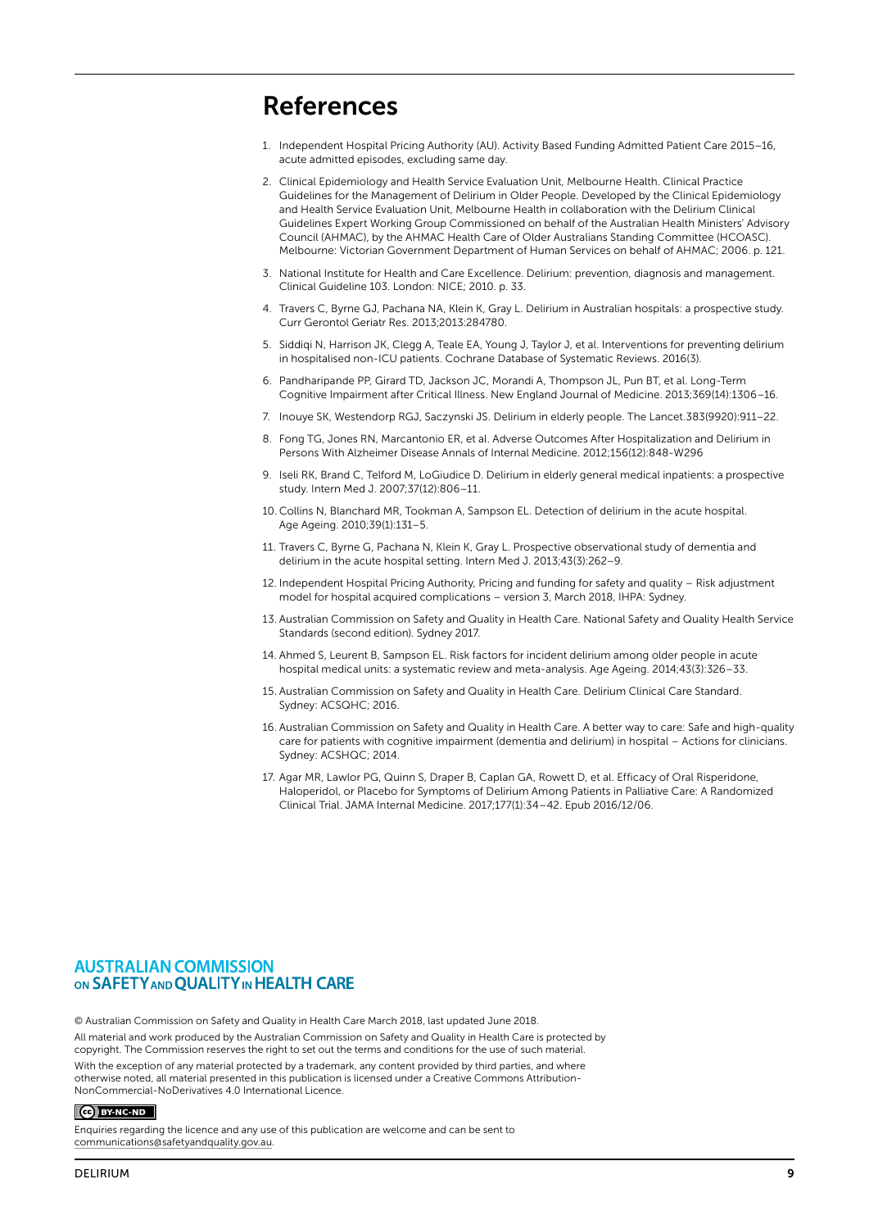## References

- 1. Independent Hospital Pricing Authority (AU). Activity Based Funding Admitted Patient Care 2015–16, acute admitted episodes, excluding same day.
- 2. Clinical Epidemiology and Health Service Evaluation Unit, Melbourne Health. Clinical Practice Guidelines for the Management of Delirium in Older People. Developed by the Clinical Epidemiology and Health Service Evaluation Unit, Melbourne Health in collaboration with the Delirium Clinical Guidelines Expert Working Group Commissioned on behalf of the Australian Health Ministers' Advisory Council (AHMAC), by the AHMAC Health Care of Older Australians Standing Committee (HCOASC). Melbourne: Victorian Government Department of Human Services on behalf of AHMAC; 2006. p. 121.
- 3. National Institute for Health and Care Excellence. Delirium: prevention, diagnosis and management. Clinical Guideline 103. London: NICE; 2010. p. 33.
- 4. Travers C, Byrne GJ, Pachana NA, Klein K, Gray L. Delirium in Australian hospitals: a prospective study. Curr Gerontol Geriatr Res. 2013;2013:284780.
- 5. Siddiqi N, Harrison JK, Clegg A, Teale EA, Young J, Taylor J, et al. Interventions for preventing delirium in hospitalised non-ICU patients. Cochrane Database of Systematic Reviews. 2016(3).
- 6. Pandharipande PP, Girard TD, Jackson JC, Morandi A, Thompson JL, Pun BT, et al. Long-Term Cognitive Impairment after Critical Illness. New England Journal of Medicine. 2013;369(14):1306–16.
- 7. Inouye SK, Westendorp RGJ, Saczynski JS. Delirium in elderly people. The Lancet.383(9920):911–22.
- 8. Fong TG, Jones RN, Marcantonio ER, et al. Adverse Outcomes After Hospitalization and Delirium in Persons With Alzheimer Disease Annals of Internal Medicine. 2012;156(12):848-W296
- 9. Iseli RK, Brand C, Telford M, LoGiudice D. Delirium in elderly general medical inpatients: a prospective study. Intern Med J. 2007;37(12):806–11.
- 10. Collins N, Blanchard MR, Tookman A, Sampson EL. Detection of delirium in the acute hospital. Age Ageing. 2010;39(1):131–5.
- 11. Travers C, Byrne G, Pachana N, Klein K, Gray L. Prospective observational study of dementia and delirium in the acute hospital setting. Intern Med J. 2013;43(3):262–9.
- 12. Independent Hospital Pricing Authority, Pricing and funding for safety and quality Risk adjustment model for hospital acquired complications – version 3, March 2018, IHPA: Sydney.
- 13. Australian Commission on Safety and Quality in Health Care. National Safety and Quality Health Service Standards (second edition). Sydney 2017.
- 14. Ahmed S, Leurent B, Sampson EL. Risk factors for incident delirium among older people in acute hospital medical units: a systematic review and meta-analysis. Age Ageing. 2014;43(3):326–33.
- 15. Australian Commission on Safety and Quality in Health Care. Delirium Clinical Care Standard. Sydney: ACSQHC; 2016.
- 16. Australian Commission on Safety and Quality in Health Care. A better way to care: Safe and high-quality care for patients with cognitive impairment (dementia and delirium) in hospital – Actions for clinicians. Sydney: ACSHQC; 2014.
- 17. Agar MR, Lawlor PG, Quinn S, Draper B, Caplan GA, Rowett D, et al. Efficacy of Oral Risperidone, Haloperidol, or Placebo for Symptoms of Delirium Among Patients in Palliative Care: A Randomized Clinical Trial. JAMA Internal Medicine. 2017;177(1):34–42. Epub 2016/12/06.

#### **AUSTRALIAN COMMISSION** ON SAFETY AND OUALITY IN HEALTH CARE

© Australian Commission on Safety and Quality in Health Care March 2018, last updated June 2018.

All material and work produced by the Australian Commission on Safety and Quality in Health Care is protected by copyright. The Commission reserves the right to set out the terms and conditions for the use of such material. With the exception of any material protected by a trademark, any content provided by third parties, and where otherwise noted, all material presented in this publication is licensed under a Creative Commons Attribution-NonCommercial-NoDerivatives 4.0 International Licence.

#### $\odot$  BY-NC-ND

Enquiries regarding the licence and any use of this publication are welcome and can be sent to [communications@safetyandquality.gov.au](mailto:communications%40safetyandquality.gov.au?subject=).